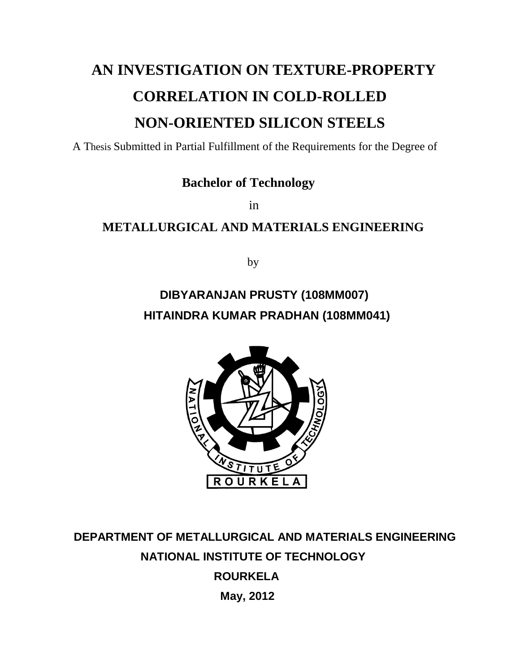## **AN INVESTIGATION ON TEXTURE-PROPERTY CORRELATION IN COLD-ROLLED NON-ORIENTED SILICON STEELS**

A Thesis Submitted in Partial Fulfillment of the Requirements for the Degree of

#### **Bachelor of Technology**

**in** *in* 

#### **METALLURGICAL AND MATERIALS ENGINEERING**

by

### **DIBYARANJAN PRUSTY (108MM007) HITAINDRA KUMAR PRADHAN (108MM041)**



 **DEPARTMENT OF METALLURGICAL AND MATERIALS ENGINEERING NATIONAL INSTITUTE OF TECHNOLOGY ROURKELA May, 2012**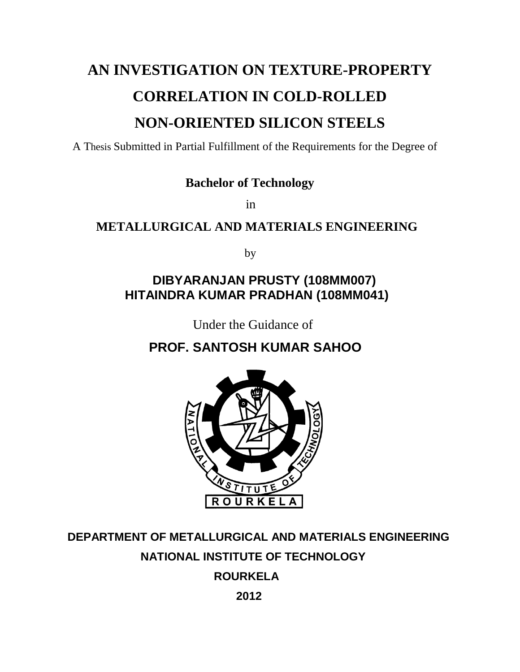## **AN INVESTIGATION ON TEXTURE-PROPERTY CORRELATION IN COLD-ROLLED NON-ORIENTED SILICON STEELS**

A Thesis Submitted in Partial Fulfillment of the Requirements for the Degree of

 **Bachelor of Technology**

**in** *in* 

#### **METALLURGICAL AND MATERIALS ENGINEERING**

by

#### **DIBYARANJAN PRUSTY (108MM007) HITAINDRA KUMAR PRADHAN (108MM041)**

Under the Guidance of

### **PROF. SANTOSH KUMAR SAHOO**



### **DEPARTMENT OF METALLURGICAL AND MATERIALS ENGINEERING NATIONAL INSTITUTE OF TECHNOLOGY**

 **ROURKELA**

 **2012**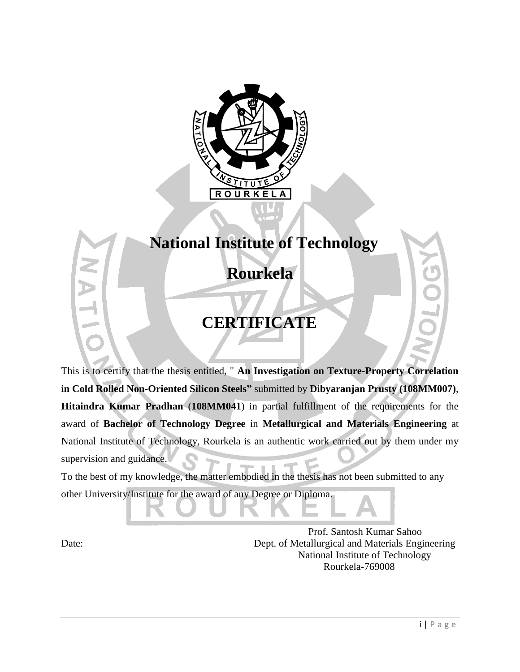

## **National Institute of Technology**

 **Rourkela**

### **CERTIFICATE**

This is to certify that the thesis entitled, " **An Investigation on Texture-Property Correlation in Cold Rolled Non-Oriented Silicon Steels"** submitted by **Dibyaranjan Prusty (108MM007)**, **Hitaindra Kumar Pradhan** (**108MM041**) in partial fulfillment of the requirements for the award of **Bachelor of Technology Degree** in **Metallurgical and Materials Engineering** at National Institute of Technology, Rourkela is an authentic work carried out by them under my supervision and guidance.

To the best of my knowledge, the matter embodied in the thesis has not been submitted to any other University/Institute for the award of any Degree or Diploma.

 Prof. Santosh Kumar Sahoo Date: Dept. of Metallurgical and Materials Engineering National Institute of Technology Rourkela-769008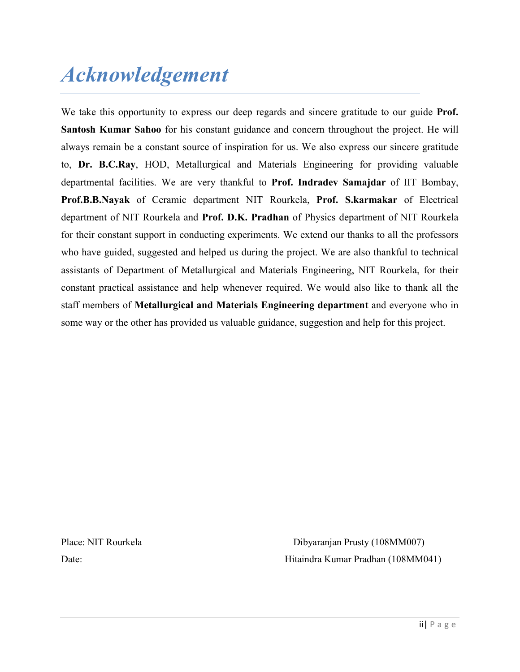# Acknowledgement

We take this opportunity to express our deep regards and sincere gratitude to our guide **Prof.** Santosh Kumar Sahoo for his constant guidance and concern throughout the project. He will always remain be a constant source of inspiration for us. We also express our sincere gratitude to, Dr. B.C.Ray, HOD, Metallurgical and Materials Engineering for providing valuable departmental facilities. We are very thankful to Prof. Indradev Samajdar of IIT Bombay, Prof.B.B.Nayak of Ceramic department NIT Rourkela, Prof. S.karmakar of Electrical department of NIT Rourkela and Prof. D.K. Pradhan of Physics department of NIT Rourkela for their constant support in conducting experiments. We extend our thanks to all the professors who have guided, suggested and helped us during the project. We are also thankful to technical assistants of Department of Metallurgical and Materials Engineering, NIT Rourkela, for their constant practical assistance and help whenever required. We would also like to thank all the staff members of Metallurgical and Materials Engineering department and everyone who in some way or the other has provided us valuable guidance, suggestion and help for this project.

Place: NIT Rourkela Dibyaranjan Prusty (108MM007) Date: Hitaindra Kumar Pradhan (108MM041)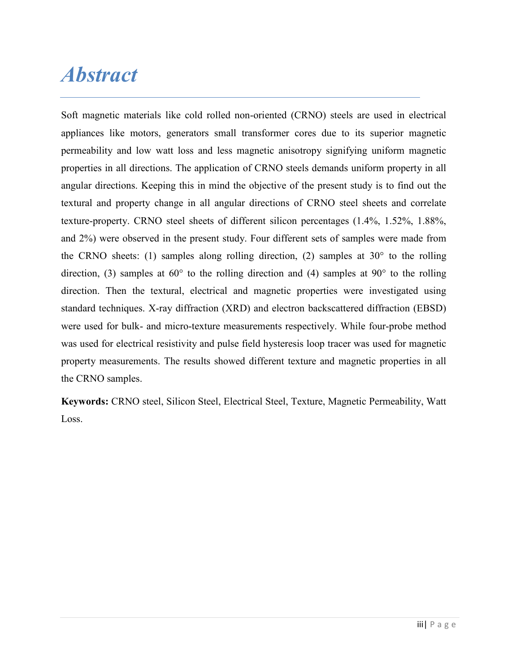## **Abstract**

Soft magnetic materials like cold rolled non-oriented (CRNO) steels are used in electrical appliances like motors, generators small transformer cores due to its superior magnetic permeability and low watt loss and less magnetic anisotropy signifying uniform magnetic properties in all directions. The application of CRNO steels demands uniform property in all angular directions. Keeping this in mind the objective of the present study is to find out the textural and property change in all angular directions of CRNO steel sheets and correlate texture-property. CRNO steel sheets of different silicon percentages (1.4%, 1.52%, 1.88%, and 2%) were observed in the present study. Four different sets of samples were made from the CRNO sheets: (1) samples along rolling direction, (2) samples at  $30^{\circ}$  to the rolling direction, (3) samples at  $60^{\circ}$  to the rolling direction and (4) samples at  $90^{\circ}$  to the rolling direction. Then the textural, electrical and magnetic properties were investigated using standard techniques. X-ray diffraction (XRD) and electron backscattered diffraction (EBSD) were used for bulk- and micro-texture measurements respectively. While four-probe method was used for electrical resistivity and pulse field hysteresis loop tracer was used for magnetic property measurements. The results showed different texture and magnetic properties in all the CRNO samples.

Keywords: CRNO steel, Silicon Steel, Electrical Steel, Texture, Magnetic Permeability, Watt Loss.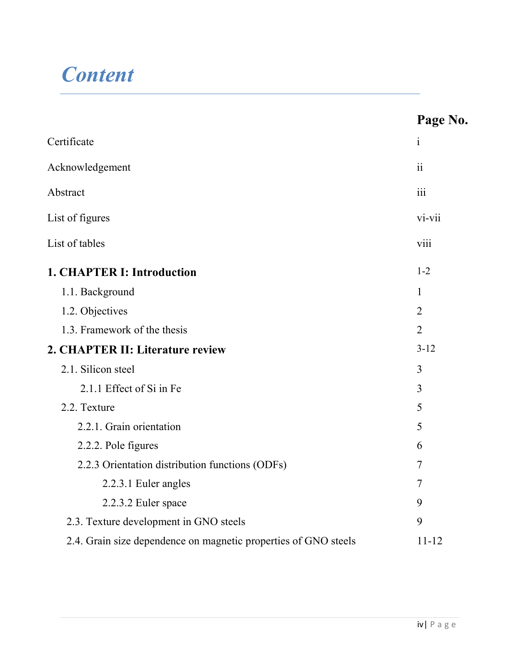# **Content**

|                                                                 | Page No.       |
|-----------------------------------------------------------------|----------------|
| Certificate                                                     | $\mathbf{i}$   |
| Acknowledgement                                                 |                |
| Abstract                                                        |                |
| List of figures                                                 |                |
| List of tables                                                  | viii           |
| <b>1. CHAPTER I: Introduction</b>                               | $1 - 2$        |
| 1.1. Background                                                 | 1              |
| 1.2. Objectives                                                 | $\overline{2}$ |
| 1.3. Framework of the thesis                                    | $\overline{2}$ |
| 2. CHAPTER II: Literature review                                |                |
| 2.1. Silicon steel                                              | 3              |
| 2.1.1 Effect of Si in Fe                                        | $\overline{3}$ |
| 2.2. Texture                                                    | 5              |
| 2.2.1. Grain orientation                                        | 5              |
| 2.2.2. Pole figures                                             | 6              |
| 2.2.3 Orientation distribution functions (ODFs)                 | 7              |
| 2.2.3.1 Euler angles                                            | 7              |
| 2.2.3.2 Euler space                                             | 9              |
| 2.3. Texture development in GNO steels                          | 9              |
| 2.4. Grain size dependence on magnetic properties of GNO steels | $11 - 12$      |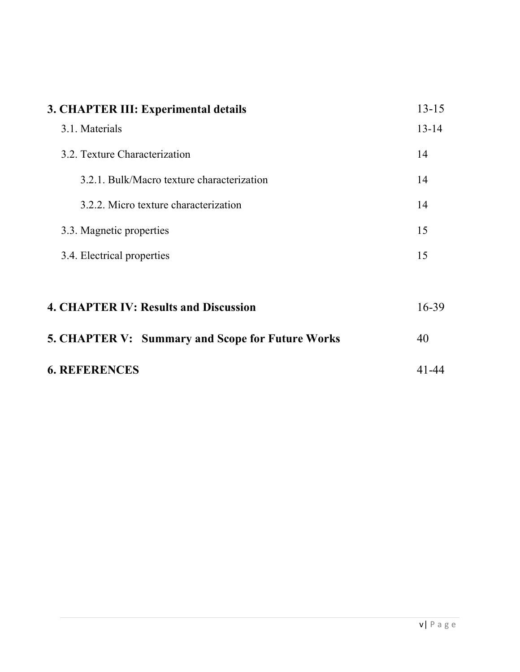| 3. CHAPTER III: Experimental details             | $13 - 15$ |
|--------------------------------------------------|-----------|
| 3.1. Materials                                   | $13 - 14$ |
| 3.2. Texture Characterization                    | 14        |
| 3.2.1. Bulk/Macro texture characterization       | 14        |
| 3.2.2. Micro texture characterization            | 14        |
| 3.3. Magnetic properties                         | 15        |
| 3.4. Electrical properties                       | 15        |
|                                                  |           |
| <b>4. CHAPTER IV: Results and Discussion</b>     | $16 - 39$ |
| 5. CHAPTER V: Summary and Scope for Future Works | 40        |
| <b>6. REFERENCES</b>                             | 41-44     |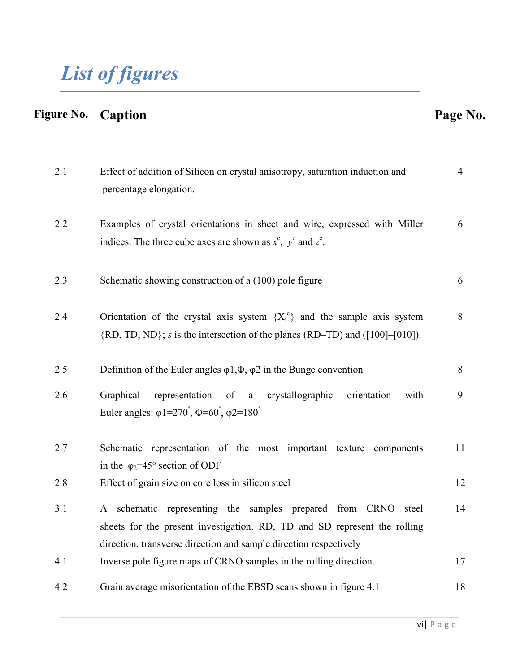# List of figures

## Figure No. Caption **Page No.** 2.1 Effect of addition of Silicon on crystal anisotropy, saturation induction and percentage elongation. 4 2.2 Examples of crystal orientations in sheet and wire, expressed with Miller indices. The three cube axes are shown as  $x^c$ ,  $y^c$  and  $z^c$ . 6 2.3 Schematic showing construction of a (100) pole figure 6 2.4 Orientation of the crystal axis system  ${X_i^c}$  and the sample axis system  ${RD, TD, ND}$ ; *s* is the intersection of the planes (RD–TD) and ([100]–[010]). 8 2.5 Definition of the Euler angles  $\varphi$ 1, $\Phi$ ,  $\varphi$ 2 in the Bunge convention 8 2.6 Graphical representation of a crystallographic orientation with Euler angles:  $\varphi$ 1=270<sup>°</sup>,  $\Phi$ =60<sup>°</sup>,  $\varphi$ 2=180<sup>°</sup> 9 2.7 Schematic representation of the most important texture components in the  $\varphi_2$ =45° section of ODF 11 2.8 Effect of grain size on core loss in silicon steel 12 3.1 A schematic representing the samples prepared from CRNO steel sheets for the present investigation. RD, TD and SD represent the rolling direction, transverse direction and sample direction respectively 14 4.1 Inverse pole figure maps of CRNO samples in the rolling direction. 17 4.2 Grain average misorientation of the EBSD scans shown in figure 4.1. 18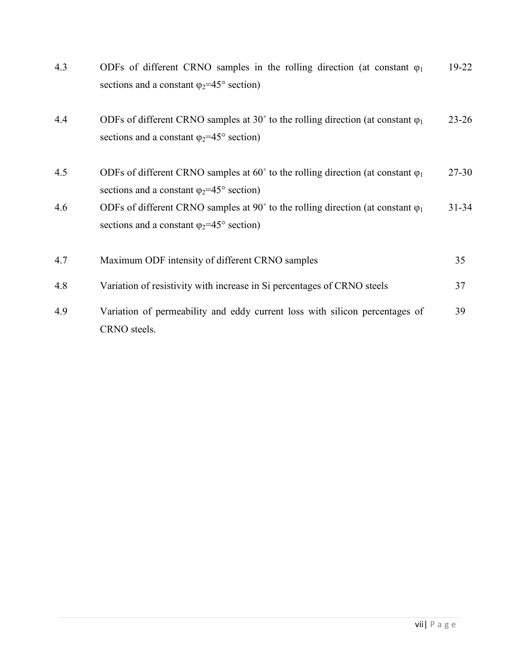| 4.3 | ODFs of different CRNO samples in the rolling direction (at constant $\varphi_1$<br>sections and a constant $\varphi_2 = 45^\circ$ section)                  | 19-22     |
|-----|--------------------------------------------------------------------------------------------------------------------------------------------------------------|-----------|
| 4.4 | ODFs of different CRNO samples at 30° to the rolling direction (at constant $\varphi_1$<br>sections and a constant $\varphi_2 = 45^\circ$ section)           | $23 - 26$ |
| 4.5 | ODFs of different CRNO samples at 60 $^{\circ}$ to the rolling direction (at constant $\varphi_1$<br>sections and a constant $\varphi_2 = 45^\circ$ section) | $27 - 30$ |
| 4.6 | ODFs of different CRNO samples at 90 $^{\circ}$ to the rolling direction (at constant $\varphi_1$<br>sections and a constant $\varphi_2 = 45^\circ$ section) | $31 - 34$ |
| 4.7 | Maximum ODF intensity of different CRNO samples                                                                                                              | 35        |
| 4.8 | Variation of resistivity with increase in Si percentages of CRNO steels                                                                                      | 37        |
| 4.9 | Variation of permeability and eddy current loss with silicon percentages of<br>CRNO steels.                                                                  | 39        |